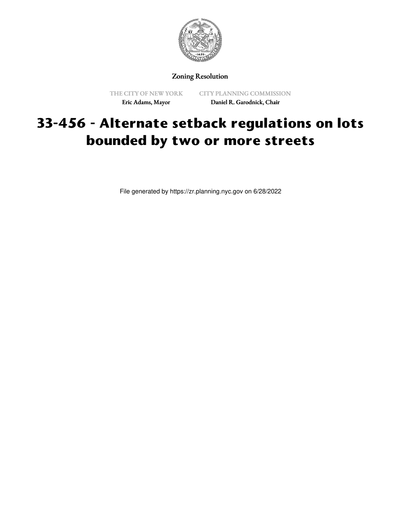

Zoning Resolution

THE CITY OF NEW YORK Eric Adams, Mayor

CITY PLANNING COMMISSION Daniel R. Garodnick, Chair

## **33-456 - Alternate setback regulations on lots bounded by two or more streets**

File generated by https://zr.planning.nyc.gov on 6/28/2022